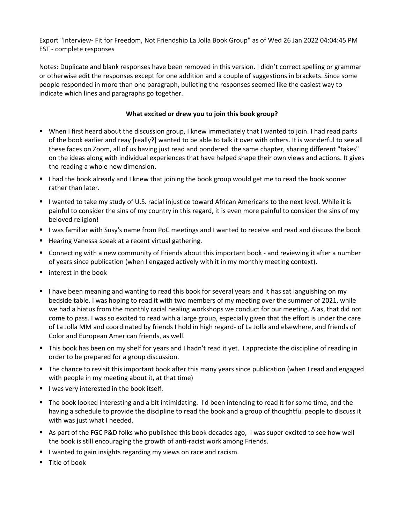Export "Interview- Fit for Freedom, Not Friendship La Jolla Book Group" as of Wed 26 Jan 2022 04:04:45 PM EST - complete responses

Notes: Duplicate and blank responses have been removed in this version. I didn't correct spelling or grammar or otherwise edit the responses except for one addition and a couple of suggestions in brackets. Since some people responded in more than one paragraph, bulleting the responses seemed like the easiest way to indicate which lines and paragraphs go together.

## **What excited or drew you to join this book group?**

- § When I first heard about the discussion group, I knew immediately that I wanted to join. I had read parts of the book earlier and reay [really?] wanted to be able to talk it over with others. It is wonderful to see all these faces on Zoom, all of us having just read and pondered the same chapter, sharing different "takes" on the ideas along with individual experiences that have helped shape their own views and actions. It gives the reading a whole new dimension.
- I had the book already and I knew that joining the book group would get me to read the book sooner rather than later.
- § I wanted to take my study of U.S. racial injustice toward African Americans to the next level. While it is painful to consider the sins of my country in this regard, it is even more painful to consider the sins of my beloved religion!
- § I was familiar with Susy's name from PoC meetings and I wanted to receive and read and discuss the book
- Hearing Vanessa speak at a recent virtual gathering.
- Connecting with a new community of Friends about this important book and reviewing it after a number of years since publication (when I engaged actively with it in my monthly meeting context).
- interest in the book
- I have been meaning and wanting to read this book for several years and it has sat languishing on my bedside table. I was hoping to read it with two members of my meeting over the summer of 2021, while we had a hiatus from the monthly racial healing workshops we conduct for our meeting. Alas, that did not come to pass. I was so excited to read with a large group, especially given that the effort is under the care of La Jolla MM and coordinated by friends I hold in high regard- of La Jolla and elsewhere, and friends of Color and European American friends, as well.
- § This book has been on my shelf for years and I hadn't read it yet. I appreciate the discipline of reading in order to be prepared for a group discussion.
- § The chance to revisit this important book after this many years since publication (when I read and engaged with people in my meeting about it, at that time)
- **I** I was very interested in the book itself.
- The book looked interesting and a bit intimidating. I'd been intending to read it for some time, and the having a schedule to provide the discipline to read the book and a group of thoughtful people to discuss it with was just what I needed.
- As part of the FGC P&D folks who published this book decades ago, I was super excited to see how well the book is still encouraging the growth of anti-racist work among Friends.
- I wanted to gain insights regarding my views on race and racism.
- Title of book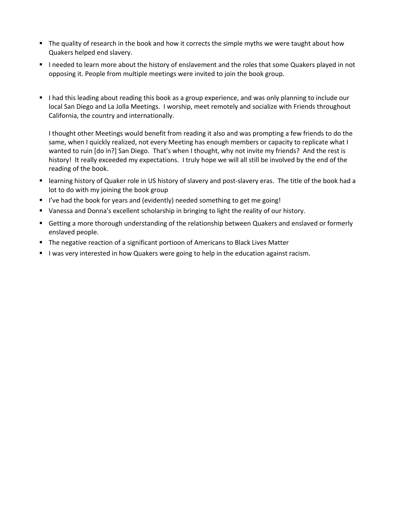- The quality of research in the book and how it corrects the simple myths we were taught about how Quakers helped end slavery.
- I needed to learn more about the history of enslavement and the roles that some Quakers played in not opposing it. People from multiple meetings were invited to join the book group.
- I had this leading about reading this book as a group experience, and was only planning to include our local San Diego and La Jolla Meetings. I worship, meet remotely and socialize with Friends throughout California, the country and internationally.

I thought other Meetings would benefit from reading it also and was prompting a few friends to do the same, when I quickly realized, not every Meeting has enough members or capacity to replicate what I wanted to ruin [do in?] San Diego. That's when I thought, why not invite my friends? And the rest is history! It really exceeded my expectations. I truly hope we will all still be involved by the end of the reading of the book.

- learning history of Quaker role in US history of slavery and post-slavery eras. The title of the book had a lot to do with my joining the book group
- § I've had the book for years and (evidently) needed something to get me going!
- Vanessa and Donna's excellent scholarship in bringing to light the reality of our history.
- Getting a more thorough understanding of the relationship between Quakers and enslaved or formerly enslaved people.
- The negative reaction of a significant portioon of Americans to Black Lives Matter
- **I was very interested in how Quakers were going to help in the education against racism.**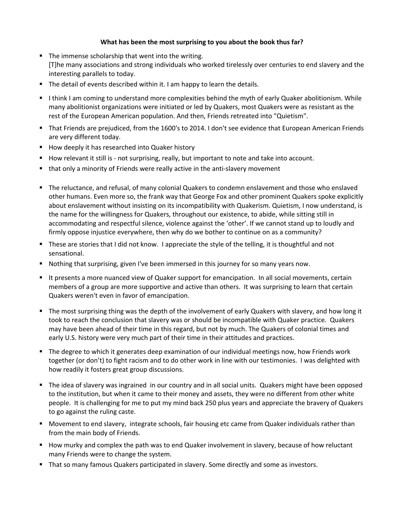## **What has been the most surprising to you about the book thus far?**

- The immense scholarship that went into the writing. [T]he many associations and strong individuals who worked tirelessly over centuries to end slavery and the interesting parallels to today.
- The detail of events described within it. I am happy to learn the details.
- I think I am coming to understand more complexities behind the myth of early Quaker abolitionism. While many abolitionist organizations were initiated or led by Quakers, most Quakers were as resistant as the rest of the European American population. And then, Friends retreated into "Quietism".
- § That Friends are prejudiced, from the 1600's to 2014. I don't see evidence that European American Friends are very different today.
- How deeply it has researched into Quaker history
- How relevant it still is not surprising, really, but important to note and take into account.
- that only a minority of Friends were really active in the anti-slavery movement
- The reluctance, and refusal, of many colonial Quakers to condemn enslavement and those who enslaved other humans. Even more so, the frank way that George Fox and other prominent Quakers spoke explicitly about enslavement without insisting on its incompatibility with Quakerism. Quietism, I now understand, is the name for the willingness for Quakers, throughout our existence, to abide, while sitting still in accommodating and respectful silence, violence against the 'other'. If we cannot stand up to loudly and firmly oppose injustice everywhere, then why do we bother to continue on as a community?
- These are stories that I did not know. I appreciate the style of the telling, it is thoughtful and not sensational.
- Nothing that surprising, given I've been immersed in this journey for so many years now.
- It presents a more nuanced view of Quaker support for emancipation. In all social movements, certain members of a group are more supportive and active than others. It was surprising to learn that certain Quakers weren't even in favor of emancipation.
- The most surprising thing was the depth of the involvement of early Quakers with slavery, and how long it took to reach the conclusion that slavery was or should be incompatible with Quaker practice. Quakers may have been ahead of their time in this regard, but not by much. The Quakers of colonial times and early U.S. history were very much part of their time in their attitudes and practices.
- The degree to which it generates deep examination of our individual meetings now, how Friends work together (or don't) to fight racism and to do other work in line with our testimonies. I was delighted with how readily it fosters great group discussions.
- § The idea of slavery was ingrained in our country and in all social units. Quakers might have been opposed to the institution, but when it came to their money and assets, they were no different from other white people. It is challenging for me to put my mind back 250 plus years and appreciate the bravery of Quakers to go against the ruling caste.
- Movement to end slavery, integrate schools, fair housing etc came from Quaker individuals rather than from the main body of Friends.
- How murky and complex the path was to end Quaker involvement in slavery, because of how reluctant many Friends were to change the system.
- That so many famous Quakers participated in slavery. Some directly and some as investors.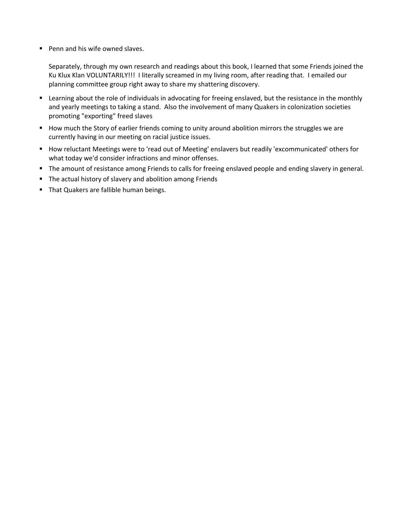■ Penn and his wife owned slaves.

Separately, through my own research and readings about this book, I learned that some Friends joined the Ku Klux Klan VOLUNTARILY!!! I literally screamed in my living room, after reading that. I emailed our planning committee group right away to share my shattering discovery.

- Learning about the role of individuals in advocating for freeing enslaved, but the resistance in the monthly and yearly meetings to taking a stand. Also the involvement of many Quakers in colonization societies promoting "exporting" freed slaves
- How much the Story of earlier friends coming to unity around abolition mirrors the struggles we are currently having in our meeting on racial justice issues.
- How reluctant Meetings were to 'read out of Meeting' enslavers but readily 'excommunicated' others for what today we'd consider infractions and minor offenses.
- The amount of resistance among Friends to calls for freeing enslaved people and ending slavery in general.
- The actual history of slavery and abolition among Friends
- That Quakers are fallible human beings.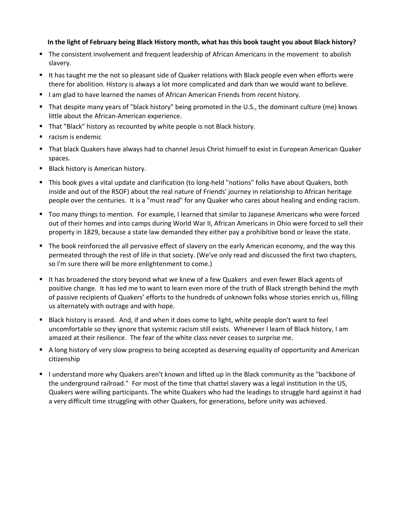#### **In the light of February being Black History month, what has this book taught you about Black history?**

- The consistent involvement and frequent leadership of African Americans in the movement to abolish slavery.
- It has taught me the not so pleasant side of Quaker relations with Black people even when efforts were there for abolition. History is always a lot more complicated and dark than we would want to believe.
- I am glad to have learned the names of African American Friends from recent history.
- § That despite many years of "black history" being promoted in the U.S., the dominant culture (me) knows little about the African-American experience.
- That "Black" history as recounted by white people is not Black history.
- racism is endemic
- § That black Quakers have always had to channel Jesus Christ himself to exist in European American Quaker spaces.
- Black history is American history.
- § This book gives a vital update and clarification (to long-held "notions" folks have about Quakers, both inside and out of the RSOF) about the real nature of Friends' journey in relationship to African heritage people over the centuries. It is a "must read" for any Quaker who cares about healing and ending racism.
- Too many things to mention. For example, I learned that similar to Japanese Americans who were forced out of their homes and into camps during World War II, African Americans in Ohio were forced to sell their property in 1829, because a state law demanded they either pay a prohibitive bond or leave the state.
- The book reinforced the all pervasive effect of slavery on the early American economy, and the way this permeated through the rest of life in that society. (We've only read and discussed the first two chapters, so I'm sure there will be more enlightenment to come.)
- It has broadened the story beyond what we knew of a few Quakers and even fewer Black agents of positive change. It has led me to want to learn even more of the truth of Black strength behind the myth of passive recipients of Quakers' efforts to the hundreds of unknown folks whose stories enrich us, filling us alternately with outrage and with hope.
- Black history is erased. And, if and when it does come to light, white people don't want to feel uncomfortable so they ignore that systemic racism still exists. Whenever I learn of Black history, I am amazed at their resilience. The fear of the white class never ceases to surprise me.
- A long history of very slow progress to being accepted as deserving equality of opportunity and American citizenship
- § I understand more why Quakers aren't known and lifted up in the Black community as the "backbone of the underground railroad." For most of the time that chattel slavery was a legal institution in the US, Quakers were willing participants. The white Quakers who had the leadings to struggle hard against it had a very difficult time struggling with other Quakers, for generations, before unity was achieved.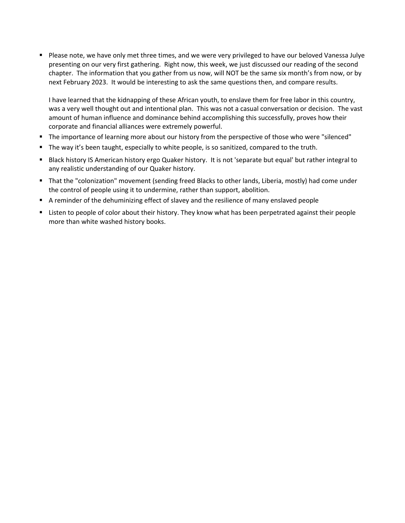§ Please note, we have only met three times, and we were very privileged to have our beloved Vanessa Julye presenting on our very first gathering. Right now, this week, we just discussed our reading of the second chapter. The information that you gather from us now, will NOT be the same six month's from now, or by next February 2023. It would be interesting to ask the same questions then, and compare results.

I have learned that the kidnapping of these African youth, to enslave them for free labor in this country, was a very well thought out and intentional plan. This was not a casual conversation or decision. The vast amount of human influence and dominance behind accomplishing this successfully, proves how their corporate and financial alliances were extremely powerful.

- The importance of learning more about our history from the perspective of those who were "silenced"
- The way it's been taught, especially to white people, is so sanitized, compared to the truth.
- Black history IS American history ergo Quaker history. It is not 'separate but equal' but rather integral to any realistic understanding of our Quaker history.
- That the "colonization" movement (sending freed Blacks to other lands, Liberia, mostly) had come under the control of people using it to undermine, rather than support, abolition.
- A reminder of the dehuminizing effect of slavey and the resilience of many enslaved people
- Listen to people of color about their history. They know what has been perpetrated against their people more than white washed history books.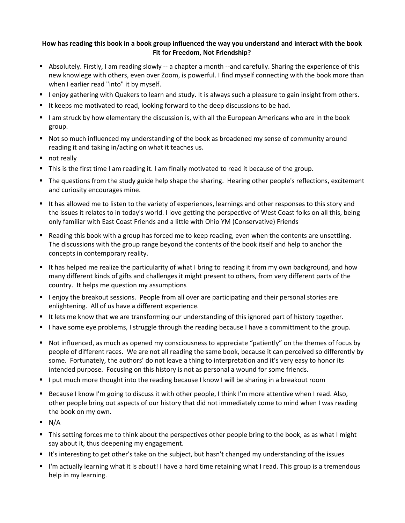# **How has reading this book in a book group influenced the way you understand and interact with the book Fit for Freedom, Not Friendship?**

- § Absolutely. Firstly, I am reading slowly -- a chapter a month --and carefully. Sharing the experience of this new knowlege with others, even over Zoom, is powerful. I find myself connecting with the book more than when I earlier read "into" it by myself.
- § I enjoy gathering with Quakers to learn and study. It is always such a pleasure to gain insight from others.
- It keeps me motivated to read, looking forward to the deep discussions to be had.
- § I am struck by how elementary the discussion is, with all the European Americans who are in the book group.
- Not so much influenced my understanding of the book as broadened my sense of community around reading it and taking in/acting on what it teaches us.
- not really
- This is the first time I am reading it. I am finally motivated to read it because of the group.
- The questions from the study guide help shape the sharing. Hearing other people's reflections, excitement and curiosity encourages mine.
- § It has allowed me to listen to the variety of experiences, learnings and other responses to this story and the issues it relates to in today's world. I love getting the perspective of West Coast folks on all this, being only familiar with East Coast Friends and a little with Ohio YM (Conservative) Friends
- Reading this book with a group has forced me to keep reading, even when the contents are unsettling. The discussions with the group range beyond the contents of the book itself and help to anchor the concepts in contemporary reality.
- It has helped me realize the particularity of what I bring to reading it from my own background, and how many different kinds of gifts and challenges it might present to others, from very different parts of the country. It helps me question my assumptions
- I enjoy the breakout sessions. People from all over are participating and their personal stories are enlightening. All of us have a different experience.
- It lets me know that we are transforming our understanding of this ignored part of history together.
- I have some eye problems, I struggle through the reading because I have a committment to the group.
- Not influenced, as much as opened my consciousness to appreciate "patiently" on the themes of focus by people of different races. We are not all reading the same book, because it can perceived so differently by some. Fortunately, the authors' do not leave a thing to interpretation and it's very easy to honor its intended purpose. Focusing on this history is not as personal a wound for some friends.
- I put much more thought into the reading because I know I will be sharing in a breakout room
- Because I know I'm going to discuss it with other people, I think I'm more attentive when I read. Also, other people bring out aspects of our history that did not immediately come to mind when I was reading the book on my own.
- $\blacksquare$  N/A
- § This setting forces me to think about the perspectives other people bring to the book, as as what I might say about it, thus deepening my engagement.
- It's interesting to get other's take on the subject, but hasn't changed my understanding of the issues
- § I'm actually learning what it is about! I have a hard time retaining what I read. This group is a tremendous help in my learning.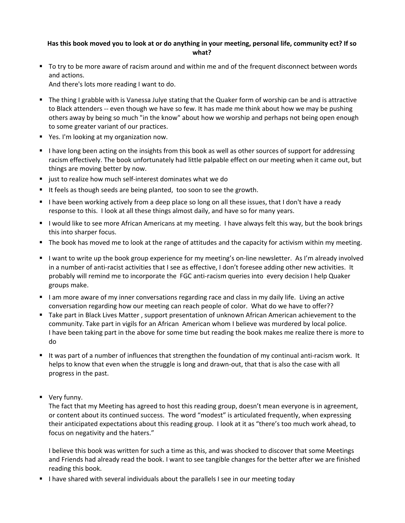# **Has this book moved you to look at or do anything in your meeting, personal life, community ect? If so what?**

§ To try to be more aware of racism around and within me and of the frequent disconnect between words and actions.

And there's lots more reading I want to do.

- § The thing I grabble with is Vanessa Julye stating that the Quaker form of worship can be and is attractive to Black attenders -- even though we have so few. It has made me think about how we may be pushing others away by being so much "in the know" about how we worship and perhaps not being open enough to some greater variant of our practices.
- Yes. I'm looking at my organization now.
- I have long been acting on the insights from this book as well as other sources of support for addressing racism effectively. The book unfortunately had little palpable effect on our meeting when it came out, but things are moving better by now.
- just to realize how much self-interest dominates what we do
- It feels as though seeds are being planted, too soon to see the growth.
- § I have been working actively from a deep place so long on all these issues, that I don't have a ready response to this. I look at all these things almost daily, and have so for many years.
- I would like to see more African Americans at my meeting. I have always felt this way, but the book brings this into sharper focus.
- The book has moved me to look at the range of attitudes and the capacity for activism within my meeting.
- § I want to write up the book group experience for my meeting's on-line newsletter. As I'm already involved in a number of anti-racist activities that I see as effective, I don't foresee adding other new activities. It probably will remind me to incorporate the FGC anti-racism queries into every decision I help Quaker groups make.
- I am more aware of my inner conversations regarding race and class in my daily life. Living an active conversation regarding how our meeting can reach people of color. What do we have to offer??
- Take part in Black Lives Matter, support presentation of unknown African American achievement to the community. Take part in vigils for an African American whom I believe was murdered by local police. I have been taking part in the above for some time but reading the book makes me realize there is more to do
- It was part of a number of influences that strengthen the foundation of my continual anti-racism work. It helps to know that even when the struggle is long and drawn-out, that that is also the case with all progress in the past.
- Very funny.

The fact that my Meeting has agreed to host this reading group, doesn't mean everyone is in agreement, or content about its continued success. The word "modest" is articulated frequently, when expressing their anticipated expectations about this reading group. I look at it as "there's too much work ahead, to focus on negativity and the haters."

I believe this book was written for such a time as this, and was shocked to discover that some Meetings and Friends had already read the book. I want to see tangible changes for the better after we are finished reading this book.

**• I have shared with several individuals about the parallels I see in our meeting today**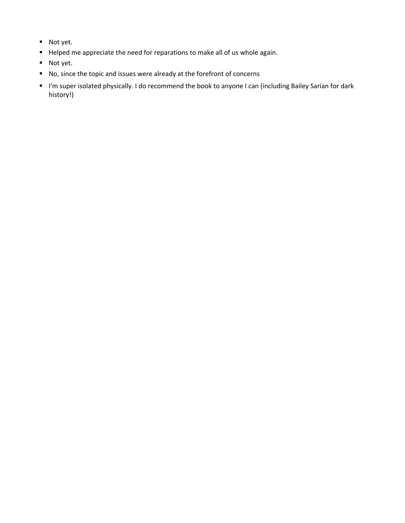- Not yet.
- Helped me appreciate the need for reparations to make all of us whole again.
- Not yet.
- No, since the topic and issues were already at the forefront of concerns
- § I'm super isolated physically. I do recommend the book to anyone I can (including Bailey Sarian for dark history!)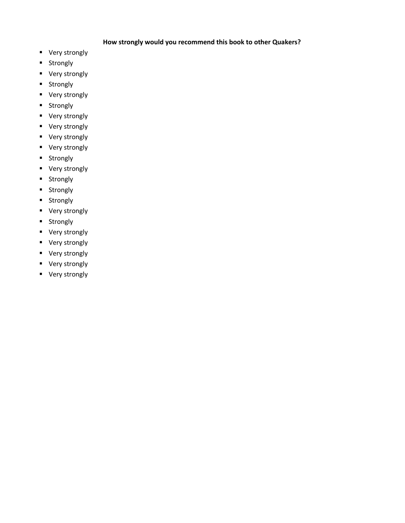## **How strongly would you recommend this book to other Quakers?**

- Very strongly
- § Strongly
- Very strongly
- § Strongly
- Very strongly
- Strongly
- Very strongly
- Very strongly
- Very strongly
- Very strongly
- Strongly
- Very strongly
- § Strongly
- § Strongly
- § Strongly
- Very strongly
- § Strongly
- Very strongly
- Very strongly
- Very strongly
- Very strongly
- Very strongly